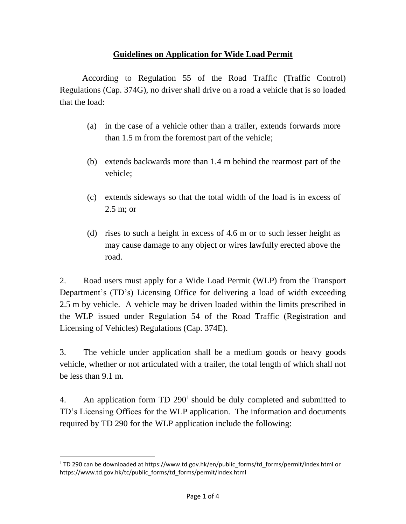## **Guidelines on Application for Wide Load Permit**

According to Regulation 55 of the Road Traffic (Traffic Control) Regulations (Cap. 374G), no driver shall drive on a road a vehicle that is so loaded that the load:

- (a) in the case of a vehicle other than a trailer, extends forwards more than 1.5 m from the foremost part of the vehicle;
- (b) extends backwards more than 1.4 m behind the rearmost part of the vehicle;
- (c) extends sideways so that the total width of the load is in excess of 2.5 m; or
- (d) rises to such a height in excess of 4.6 m or to such lesser height as may cause damage to any object or wires lawfully erected above the road.

2. Road users must apply for a Wide Load Permit (WLP) from the Transport Department's (TD's) Licensing Office for delivering a load of width exceeding 2.5 m by vehicle. A vehicle may be driven loaded within the limits prescribed in the WLP issued under Regulation 54 of the Road Traffic (Registration and Licensing of Vehicles) Regulations (Cap. 374E).

3. The vehicle under application shall be a medium goods or heavy goods vehicle, whether or not articulated with a trailer, the total length of which shall not be less than 9.1 m.

4. An application form  $TD 290<sup>1</sup>$  should be duly completed and submitted to TD's Licensing Offices for the WLP application. The information and documents required by TD 290 for the WLP application include the following:

l

 $1$  TD 290 can be downloaded at [https://www.td.gov.hk/en/public\\_forms/td\\_forms/permit/index.html](https://www.td.gov.hk/en/public_forms/td_forms/permit/index.html) or https://www.td.gov.hk/tc/public\_forms/td\_forms/permit/index.html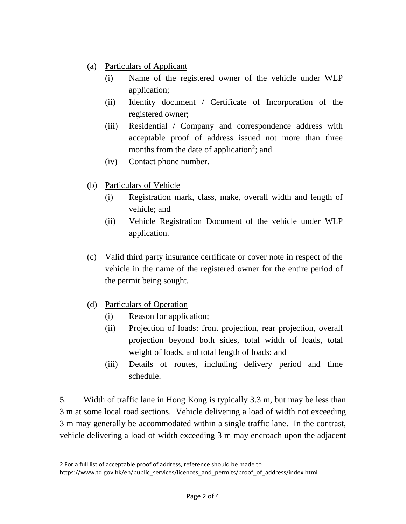- (a) Particulars of Applicant
	- (i) Name of the registered owner of the vehicle under WLP application;
	- (ii) Identity document / Certificate of Incorporation of the registered owner;
	- (iii) Residential / Company and correspondence address with acceptable proof of address issued not more than three months from the date of application<sup>2</sup>; and
	- (iv) Contact phone number.
- (b) Particulars of Vehicle
	- (i) Registration mark, class, make, overall width and length of vehicle; and
	- (ii) Vehicle Registration Document of the vehicle under WLP application.
- (c) Valid third party insurance certificate or cover note in respect of the vehicle in the name of the registered owner for the entire period of the permit being sought.
- (d) Particulars of Operation
	- (i) Reason for application;
	- (ii) Projection of loads: front projection, rear projection, overall projection beyond both sides, total width of loads, total weight of loads, and total length of loads; and
	- (iii) Details of routes, including delivery period and time schedule.

5. Width of traffic lane in Hong Kong is typically 3.3 m, but may be less than 3 m at some local road sections. Vehicle delivering a load of width not exceeding 3 m may generally be accommodated within a single traffic lane. In the contrast, vehicle delivering a load of width exceeding 3 m may encroach upon the adjacent

l

<sup>2</sup> For a full list of acceptable proof of address, reference should be made to

https://www.td.gov.hk/en/public\_services/licences\_and\_permits/proof\_of\_address/index.html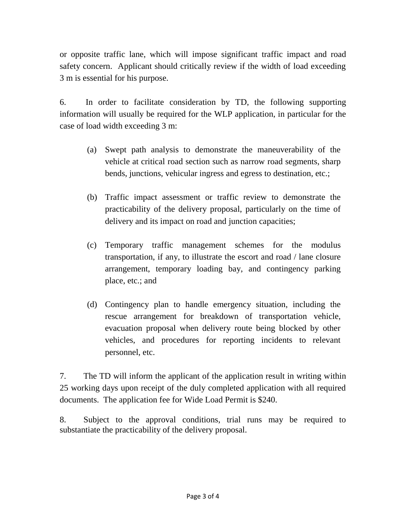or opposite traffic lane, which will impose significant traffic impact and road safety concern. Applicant should critically review if the width of load exceeding 3 m is essential for his purpose.

6. In order to facilitate consideration by TD, the following supporting information will usually be required for the WLP application, in particular for the case of load width exceeding 3 m:

- (a) Swept path analysis to demonstrate the maneuverability of the vehicle at critical road section such as narrow road segments, sharp bends, junctions, vehicular ingress and egress to destination, etc.;
- (b) Traffic impact assessment or traffic review to demonstrate the practicability of the delivery proposal, particularly on the time of delivery and its impact on road and junction capacities;
- (c) Temporary traffic management schemes for the modulus transportation, if any, to illustrate the escort and road / lane closure arrangement, temporary loading bay, and contingency parking place, etc.; and
- (d) Contingency plan to handle emergency situation, including the rescue arrangement for breakdown of transportation vehicle, evacuation proposal when delivery route being blocked by other vehicles, and procedures for reporting incidents to relevant personnel, etc.

7. The TD will inform the applicant of the application result in writing within 25 working days upon receipt of the duly completed application with all required documents. The application fee for Wide Load Permit is \$240.

8. Subject to the approval conditions, trial runs may be required to substantiate the practicability of the delivery proposal.